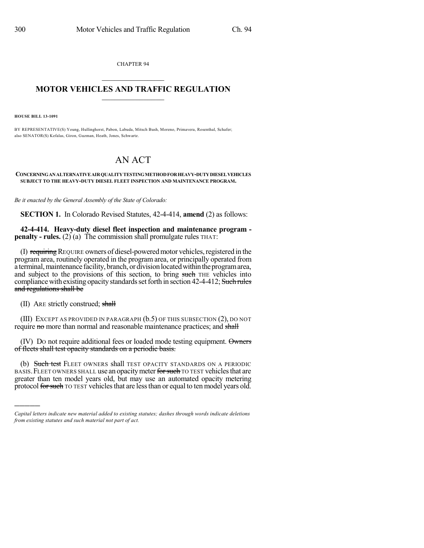CHAPTER 94  $\overline{\phantom{a}}$  . The set of the set of the set of the set of the set of the set of the set of the set of the set of the set of the set of the set of the set of the set of the set of the set of the set of the set of the set o

## **MOTOR VEHICLES AND TRAFFIC REGULATION**  $\frac{1}{2}$  ,  $\frac{1}{2}$  ,  $\frac{1}{2}$  ,  $\frac{1}{2}$  ,  $\frac{1}{2}$  ,  $\frac{1}{2}$  ,  $\frac{1}{2}$

**HOUSE BILL 13-1091**

BY REPRESENTATIVE(S) Young, Hullinghorst, Pabon, Labuda, Mitsch Bush, Moreno, Primavera, Rosenthal, Schafer; also SENATOR(S) Kefalas, Giron, Guzman, Heath, Jones, Schwartz.

## AN ACT

## **CONCERNINGANALTERNATIVE AIRQUALITYTESTINGMETHODFORHEAVY-DUTYDIESELVEHICLES SUBJECT TO THE HEAVY-DUTY DIESEL FLEET INSPECTION AND MAINTENANCE PROGRAM.**

*Be it enacted by the General Assembly of the State of Colorado:*

**SECTION 1.** In Colorado Revised Statutes, 42-4-414, **amend** (2) as follows:

**42-4-414. Heavy-duty diesel fleet inspection and maintenance program penalty - rules.** (2) (a) The commission shall promulgate rules THAT:

(I) requiring REQUIRE owners of diesel-powered motor vehicles, registered in the program area, routinely operated in the program area, or principally operated from a terminal, maintenance facility, branch, or division located within the program area, and subject to the provisions of this section, to bring such THE vehicles into compliance with existing opacity standards set forth in section 42-4-412; Such rules and regulations shall be

(II) ARE strictly construed; shall

)))))

(III) EXCEPT AS PROVIDED IN PARAGRAPH (b.5) OF THIS SUBSECTION (2), DO NOT require no more than normal and reasonable maintenance practices; and shall

(IV) DO not require additional fees or loaded mode testing equipment. Owners of fleets shall test opacity standards on a periodic basis.

(b) Such test FLEET OWNERS shall TEST OPACITY STANDARDS ON A PERIODIC BASIS. FLEET OWNERS SHALL use an opacity meter for such TO TEST vehicles that are greater than ten model years old, but may use an automated opacity metering protocol for such TO TEST vehicles that are less than or equal to ten model years old.

*Capital letters indicate new material added to existing statutes; dashes through words indicate deletions from existing statutes and such material not part of act.*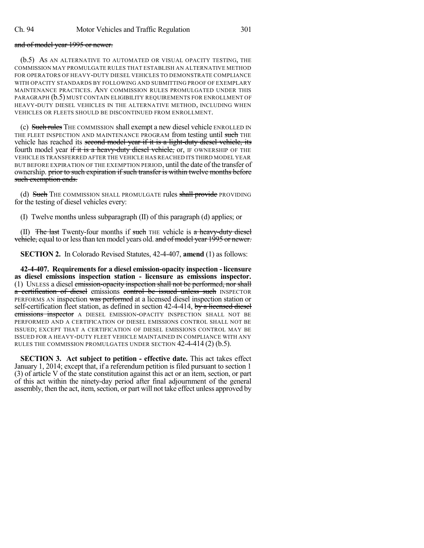## and of model year 1995 or newer.

(b.5) AS AN ALTERNATIVE TO AUTOMATED OR VISUAL OPACITY TESTING, THE COMMISSION MAY PROMULGATE RULES THAT ESTABLISH AN ALTERNATIVE METHOD FOR OPERATORS OF HEAVY-DUTY DIESEL VEHICLES TO DEMONSTRATE COMPLIANCE WITH OPACITY STANDARDS BY FOLLOWING AND SUBMITTING PROOF OF EXEMPLARY MAINTENANCE PRACTICES. ANY COMMISSION RULES PROMULGATED UNDER THIS PARAGRAPH (b.5) MUST CONTAIN ELIGIBILITY REQUIREMENTS FOR ENROLLMENT OF HEAVY-DUTY DIESEL VEHICLES IN THE ALTERNATIVE METHOD, INCLUDING WHEN VEHICLES OR FLEETS SHOULD BE DISCONTINUED FROM ENROLLMENT.

(c) Such rules THE COMMISSION shall exempt a new diesel vehicle ENROLLED IN THE FLEET INSPECTION AND MAINTENANCE PROGRAM from testing until such THE vehicle has reached its second model year if it is a light-duty diesel vehicle, its fourth model year if it is a heavy-duty diesel vehicle, or, IF OWNERSHIP OF THE VEHICLE IS TRANSFERRED AFTER THE VEHICLE HAS REACHED ITS THIRD MODEL YEAR BUT BEFORE EXPIRATION OF THE EXEMPTION PERIOD, until the date of the transfer of ownership. prior to such expiration if such transfer is within twelve months before such exemption ends.

(d) Such THE COMMISSION SHALL PROMULGATE rules shall provide PROVIDING for the testing of diesel vehicles every:

(I) Twelve months unless subparagraph (II) of this paragraph (d) applies; or

 $(II)$  The last Twenty-four months if such THE vehicle is a heavy-duty diesel vehicle, equal to or less than ten model years old. and of model year 1995 or newer.

**SECTION 2.** In Colorado Revised Statutes, 42-4-407, **amend** (1) as follows:

**42-4-407. Requirements for a diesel emission-opacity inspection - licensure as diesel emissions inspection station - licensure as emissions inspector.** (1) UNLESS a diesel emission-opacity inspection shall not be performed, nor shall a certification of diesel emissions control be issued unless such INSPECTOR PERFORMS AN inspection was performed at a licensed diesel inspection station or self-certification fleet station, as defined in section 42-4-414, by a licensed diesel emissions inspector A DIESEL EMISSION-OPACITY INSPECTION SHALL NOT BE PERFORMED AND A CERTIFICATION OF DIESEL EMISSIONS CONTROL SHALL NOT BE ISSUED; EXCEPT THAT A CERTIFICATION OF DIESEL EMISSIONS CONTROL MAY BE ISSUED FOR A HEAVY-DUTY FLEET VEHICLE MAINTAINED IN COMPLIANCE WITH ANY RULES THE COMMISSION PROMULGATES UNDER SECTION 42-4-414 (2) (b.5).

**SECTION 3. Act subject to petition - effective date.** This act takes effect January 1, 2014; except that, if a referendum petition is filed pursuant to section 1 (3) of article V of the state constitution against this act or an item, section, or part of this act within the ninety-day period after final adjournment of the general assembly, then the act, item, section, or part will not take effect unless approved by